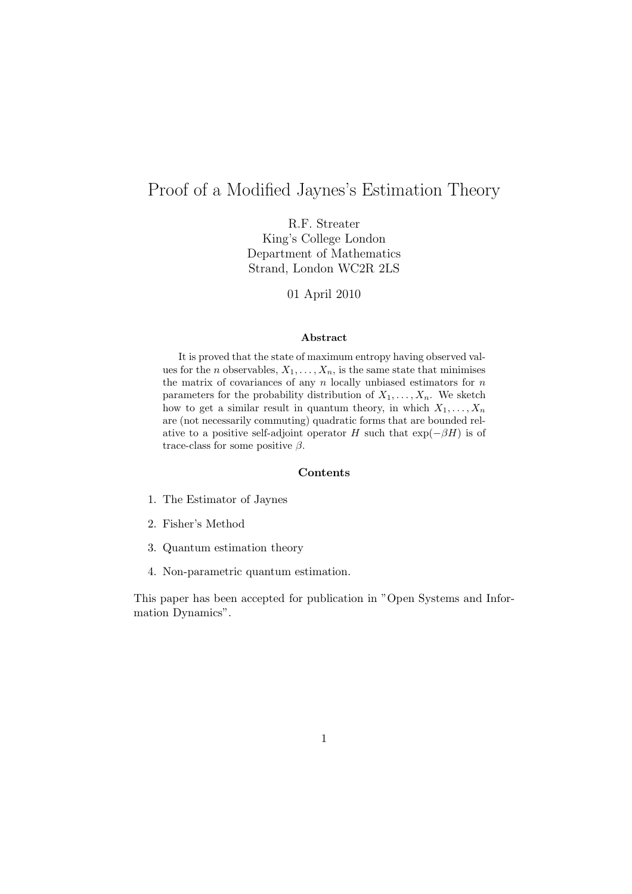# Proof of a Modified Jaynes's Estimation Theory

R.F. Streater King's College London Department of Mathematics Strand, London WC2R 2LS

01 April 2010

#### Abstract

It is proved that the state of maximum entropy having observed values for the *n* observables,  $X_1, \ldots, X_n$ , is the same state that minimises the matrix of covariances of any  $n$  locally unbiased estimators for  $n$ parameters for the probability distribution of  $X_1, \ldots, X_n$ . We sketch how to get a similar result in quantum theory, in which  $X_1, \ldots, X_n$ are (not necessarily commuting) quadratic forms that are bounded relative to a positive self-adjoint operator H such that  $\exp(-\beta H)$  is of trace-class for some positive  $\beta$ .

#### Contents

- 1. The Estimator of Jaynes
- 2. Fisher's Method
- 3. Quantum estimation theory
- 4. Non-parametric quantum estimation.

This paper has been accepted for publication in "Open Systems and Information Dynamics".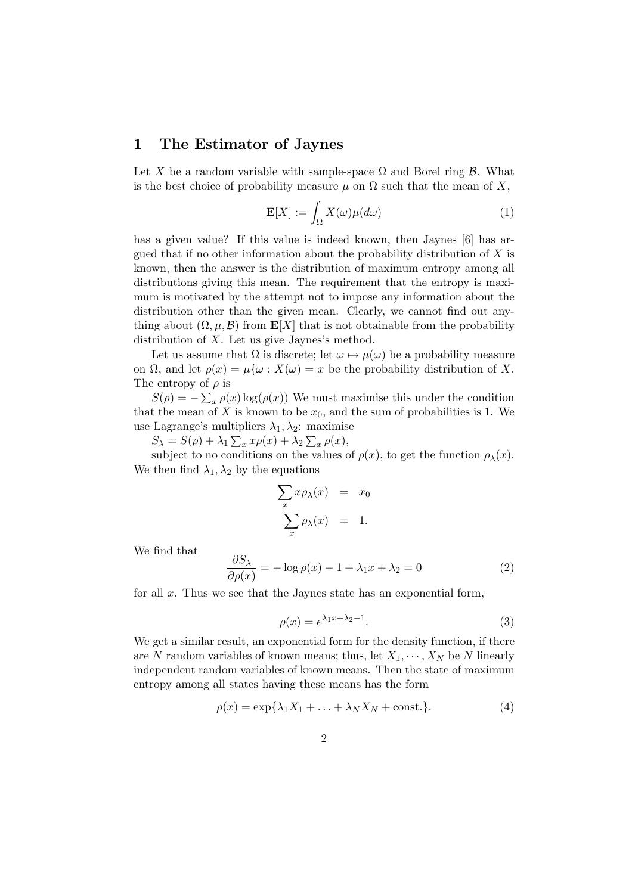### 1 The Estimator of Jaynes

Let X be a random variable with sample-space  $\Omega$  and Borel ring  $\beta$ . What is the best choice of probability measure  $\mu$  on  $\Omega$  such that the mean of X,

$$
\mathbf{E}[X] := \int_{\Omega} X(\omega) \mu(d\omega) \tag{1}
$$

has a given value? If this value is indeed known, then Jaynes [6] has argued that if no other information about the probability distribution of  $X$  is known, then the answer is the distribution of maximum entropy among all distributions giving this mean. The requirement that the entropy is maximum is motivated by the attempt not to impose any information about the distribution other than the given mean. Clearly, we cannot find out anything about  $(\Omega, \mu, \mathcal{B})$  from  $\mathbf{E}[X]$  that is not obtainable from the probability distribution of X. Let us give Jaynes's method.

Let us assume that  $\Omega$  is discrete; let  $\omega \mapsto \mu(\omega)$  be a probability measure on  $\Omega$ , and let  $\rho(x) = \mu\{\omega : X(\omega) = x\}$  be the probability distribution of X. The entropy of  $\rho$  is

 $S(\rho) = -\sum_x \rho(x) \log(\rho(x))$  We must maximise this under the condition that the mean of X is known to be  $x_0$ , and the sum of probabilities is 1. We use Lagrange's multipliers  $\lambda_1, \lambda_2$ : maximise

 $S_{\lambda} = S(\rho) + \lambda_1 \sum_x x \rho(x) + \lambda_2 \sum_x \rho(x),$ 

subject to no conditions on the values of  $\rho(x)$ , to get the function  $\rho_{\lambda}(x)$ . We then find  $\lambda_1, \lambda_2$  by the equations

$$
\sum_{x} x \rho_{\lambda}(x) = x_0
$$

$$
\sum_{x} \rho_{\lambda}(x) = 1.
$$

We find that

$$
\frac{\partial S_{\lambda}}{\partial \rho(x)} = -\log \rho(x) - 1 + \lambda_1 x + \lambda_2 = 0 \tag{2}
$$

for all  $x$ . Thus we see that the Javnes state has an exponential form,

$$
\rho(x) = e^{\lambda_1 x + \lambda_2 - 1}.\tag{3}
$$

We get a similar result, an exponential form for the density function, if there are N random variables of known means; thus, let  $X_1, \dots, X_N$  be N linearly independent random variables of known means. Then the state of maximum entropy among all states having these means has the form

$$
\rho(x) = \exp\{\lambda_1 X_1 + \dots + \lambda_N X_N + \text{const.}\}.
$$
 (4)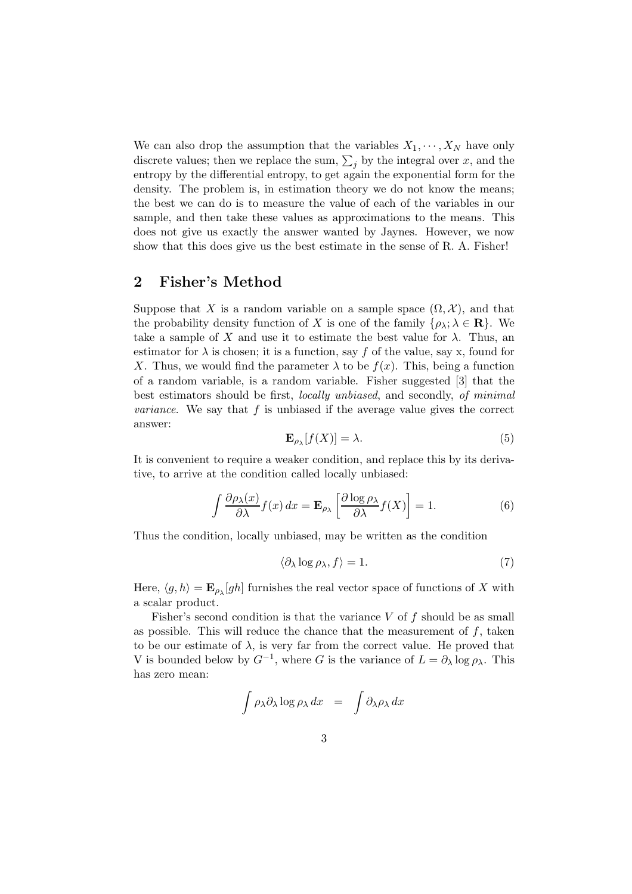We can also drop the assumption that the variables  $X_1, \dots, X_N$  have only discrete values; then we replace the sum,  $\sum_j$  by the integral over x, and the entropy by the differential entropy, to get again the exponential form for the density. The problem is, in estimation theory we do not know the means; the best we can do is to measure the value of each of the variables in our sample, and then take these values as approximations to the means. This does not give us exactly the answer wanted by Jaynes. However, we now show that this does give us the best estimate in the sense of R. A. Fisher!

#### 2 Fisher's Method

Suppose that X is a random variable on a sample space  $(\Omega, \mathcal{X})$ , and that the probability density function of X is one of the family  $\{\rho_\lambda; \lambda \in \mathbf{R}\}\)$ . We take a sample of X and use it to estimate the best value for  $\lambda$ . Thus, an estimator for  $\lambda$  is chosen; it is a function, say f of the value, say x, found for X. Thus, we would find the parameter  $\lambda$  to be  $f(x)$ . This, being a function of a random variable, is a random variable. Fisher suggested [3] that the best estimators should be first, locally unbiased, and secondly, of minimal *variance*. We say that  $f$  is unbiased if the average value gives the correct answer:

$$
\mathbf{E}_{\rho_{\lambda}}[f(X)] = \lambda. \tag{5}
$$

It is convenient to require a weaker condition, and replace this by its derivative, to arrive at the condition called locally unbiased:

$$
\int \frac{\partial \rho_{\lambda}(x)}{\partial \lambda} f(x) dx = \mathbf{E}_{\rho_{\lambda}} \left[ \frac{\partial \log \rho_{\lambda}}{\partial \lambda} f(X) \right] = 1.
$$
 (6)

Thus the condition, locally unbiased, may be written as the condition

$$
\langle \partial_{\lambda} \log \rho_{\lambda}, f \rangle = 1. \tag{7}
$$

Here,  $\langle g, h \rangle = \mathbf{E}_{\rho_\lambda}[gh]$  furnishes the real vector space of functions of X with a scalar product.

Fisher's second condition is that the variance  $V$  of  $f$  should be as small as possible. This will reduce the chance that the measurement of  $f$ , taken to be our estimate of  $\lambda$ , is very far from the correct value. He proved that V is bounded below by  $G^{-1}$ , where G is the variance of  $L = \partial_{\lambda} \log \rho_{\lambda}$ . This has zero mean:

$$
\int \rho_{\lambda} \partial_{\lambda} \log \rho_{\lambda} dx = \int \partial_{\lambda} \rho_{\lambda} dx
$$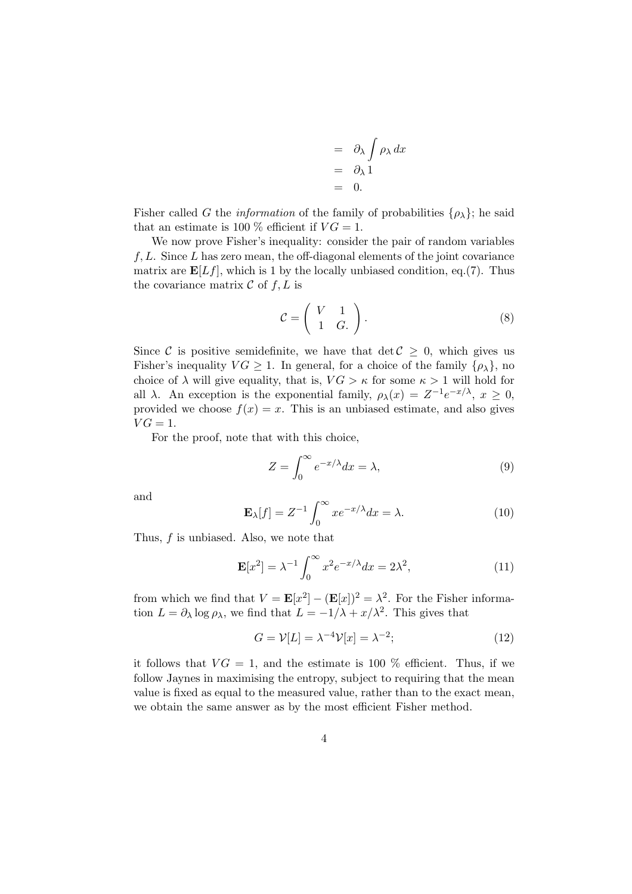$$
= \partial_{\lambda} \int \rho_{\lambda} dx
$$
  
=  $\partial_{\lambda} 1$   
= 0.

Fisher called G the *information* of the family of probabilities  $\{\rho_{\lambda}\}\$ ; he said that an estimate is 100 % efficient if  $VG = 1$ .

We now prove Fisher's inequality: consider the pair of random variables  $f, L$ . Since L has zero mean, the off-diagonal elements of the joint covariance matrix are  $\mathbf{E}[Lf]$ , which is 1 by the locally unbiased condition, eq.(7). Thus the covariance matrix  $\mathcal C$  of  $f, L$  is

$$
\mathcal{C} = \left( \begin{array}{cc} V & 1 \\ 1 & G. \end{array} \right). \tag{8}
$$

Since C is positive semidefinite, we have that  $\det \mathcal{C} \geq 0$ , which gives us Fisher's inequality  $VG \geq 1$ . In general, for a choice of the family  $\{\rho_{\lambda}\}\$ , no choice of  $\lambda$  will give equality, that is,  $VG > \kappa$  for some  $\kappa > 1$  will hold for all  $\lambda$ . An exception is the exponential family,  $\rho_{\lambda}(x) = Z^{-1}e^{-x/\lambda}, x \ge 0$ , provided we choose  $f(x) = x$ . This is an unbiased estimate, and also gives  $VG = 1$ .

For the proof, note that with this choice,

$$
Z = \int_0^\infty e^{-x/\lambda} dx = \lambda,\tag{9}
$$

and

$$
\mathbf{E}_{\lambda}[f] = Z^{-1} \int_0^\infty x e^{-x/\lambda} dx = \lambda.
$$
 (10)

Thus,  $f$  is unbiased. Also, we note that

$$
\mathbf{E}[x^2] = \lambda^{-1} \int_0^\infty x^2 e^{-x/\lambda} dx = 2\lambda^2,
$$
\n(11)

from which we find that  $V = \mathbf{E}[x^2] - (\mathbf{E}[x])^2 = \lambda^2$ . For the Fisher information  $L = \partial_{\lambda} \log \rho_{\lambda}$ , we find that  $L = -1/\lambda + x/\lambda^2$ . This gives that

$$
G = \mathcal{V}[L] = \lambda^{-4} \mathcal{V}[x] = \lambda^{-2};\tag{12}
$$

it follows that  $VG = 1$ , and the estimate is 100 % efficient. Thus, if we follow Jaynes in maximising the entropy, subject to requiring that the mean value is fixed as equal to the measured value, rather than to the exact mean, we obtain the same answer as by the most efficient Fisher method.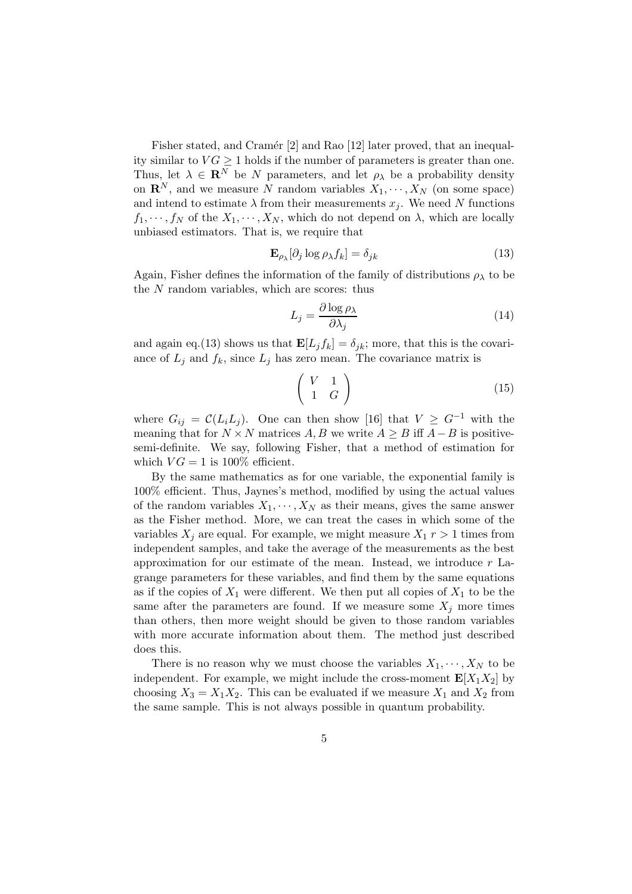Fisher stated, and Cramér [2] and Rao [12] later proved, that an inequality similar to  $VG \geq 1$  holds if the number of parameters is greater than one. Thus, let  $\lambda \in \mathbb{R}^N$  be N parameters, and let  $\rho_{\lambda}$  be a probability density on  $\mathbf{R}^N$ , and we measure N random variables  $X_1, \dots, X_N$  (on some space) and intend to estimate  $\lambda$  from their measurements  $x_i$ . We need N functions  $f_1, \dots, f_N$  of the  $X_1, \dots, X_N$ , which do not depend on  $\lambda$ , which are locally unbiased estimators. That is, we require that

$$
\mathbf{E}_{\rho_{\lambda}}[\partial_j \log \rho_{\lambda} f_k] = \delta_{jk} \tag{13}
$$

Again, Fisher defines the information of the family of distributions  $\rho_{\lambda}$  to be the N random variables, which are scores: thus

$$
L_j = \frac{\partial \log \rho_\lambda}{\partial \lambda_j} \tag{14}
$$

and again eq.(13) shows us that  $\mathbf{E}[L_j f_k] = \delta_{jk}$ ; more, that this is the covariance of  $L_j$  and  $f_k$ , since  $L_j$  has zero mean. The covariance matrix is

$$
\left(\begin{array}{cc} V & 1 \\ 1 & G \end{array}\right) \tag{15}
$$

where  $G_{ij} = C(L_i L_j)$ . One can then show [16] that  $V \geq G^{-1}$  with the meaning that for  $N \times N$  matrices A, B we write  $A \geq B$  iff  $A - B$  is positivesemi-definite. We say, following Fisher, that a method of estimation for which  $VG = 1$  is 100% efficient.

By the same mathematics as for one variable, the exponential family is 100% efficient. Thus, Jaynes's method, modified by using the actual values of the random variables  $X_1, \dots, X_N$  as their means, gives the same answer as the Fisher method. More, we can treat the cases in which some of the variables  $X_j$  are equal. For example, we might measure  $X_1$   $r > 1$  times from independent samples, and take the average of the measurements as the best approximation for our estimate of the mean. Instead, we introduce  $r$  Lagrange parameters for these variables, and find them by the same equations as if the copies of  $X_1$  were different. We then put all copies of  $X_1$  to be the same after the parameters are found. If we measure some  $X_i$  more times than others, then more weight should be given to those random variables with more accurate information about them. The method just described does this.

There is no reason why we must choose the variables  $X_1, \dots, X_N$  to be independent. For example, we might include the cross-moment  $\mathbf{E}[X_1 X_2]$  by choosing  $X_3 = X_1 X_2$ . This can be evaluated if we measure  $X_1$  and  $X_2$  from the same sample. This is not always possible in quantum probability.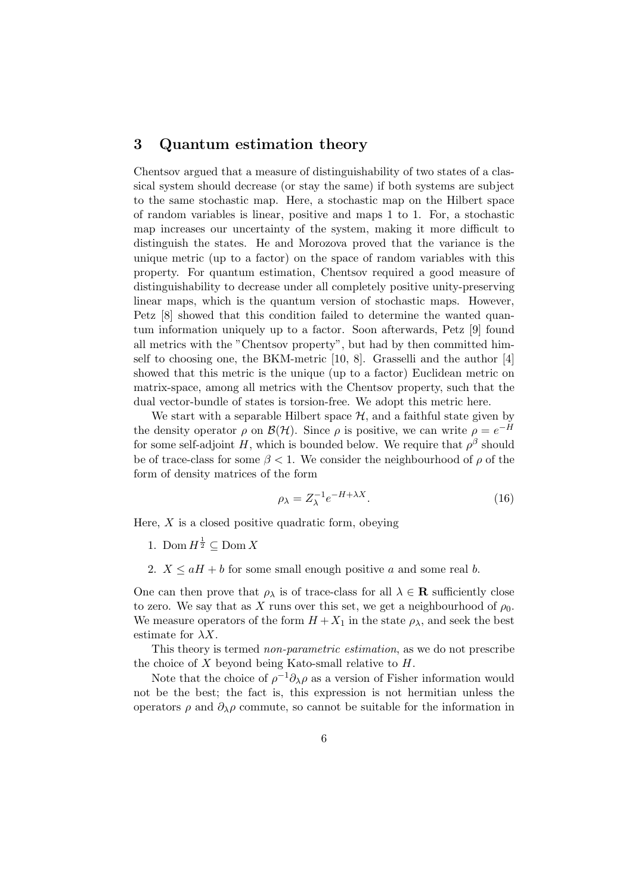## 3 Quantum estimation theory

Chentsov argued that a measure of distinguishability of two states of a classical system should decrease (or stay the same) if both systems are subject to the same stochastic map. Here, a stochastic map on the Hilbert space of random variables is linear, positive and maps 1 to 1. For, a stochastic map increases our uncertainty of the system, making it more difficult to distinguish the states. He and Morozova proved that the variance is the unique metric (up to a factor) on the space of random variables with this property. For quantum estimation, Chentsov required a good measure of distinguishability to decrease under all completely positive unity-preserving linear maps, which is the quantum version of stochastic maps. However, Petz [8] showed that this condition failed to determine the wanted quantum information uniquely up to a factor. Soon afterwards, Petz [9] found all metrics with the "Chentsov property", but had by then committed himself to choosing one, the BKM-metric [10, 8]. Grasselli and the author [4] showed that this metric is the unique (up to a factor) Euclidean metric on matrix-space, among all metrics with the Chentsov property, such that the dual vector-bundle of states is torsion-free. We adopt this metric here.

We start with a separable Hilbert space  $H$ , and a faithful state given by the density operator  $\rho$  on  $\mathcal{B}(\mathcal{H})$ . Since  $\rho$  is positive, we can write  $\rho = e^{-H}$ for some self-adjoint H, which is bounded below. We require that  $\rho^{\beta}$  should be of trace-class for some  $\beta < 1$ . We consider the neighbourhood of  $\rho$  of the form of density matrices of the form

$$
\rho_{\lambda} = Z_{\lambda}^{-1} e^{-H + \lambda X}.
$$
\n(16)

Here,  $X$  is a closed positive quadratic form, obeying

- 1. Dom  $H^{\frac{1}{2}} \subseteq$  Dom X
- 2.  $X \le aH + b$  for some small enough positive a and some real b.

One can then prove that  $\rho_{\lambda}$  is of trace-class for all  $\lambda \in \mathbf{R}$  sufficiently close to zero. We say that as X runs over this set, we get a neighbourhood of  $\rho_0$ . We measure operators of the form  $H + X_1$  in the state  $\rho_{\lambda}$ , and seek the best estimate for  $\lambda X$ .

This theory is termed non-parametric estimation, as we do not prescribe the choice of  $X$  beyond being Kato-small relative to  $H$ .

Note that the choice of  $\rho^{-1}\partial_{\lambda}\rho$  as a version of Fisher information would not be the best; the fact is, this expression is not hermitian unless the operators  $\rho$  and  $\partial_{\lambda}\rho$  commute, so cannot be suitable for the information in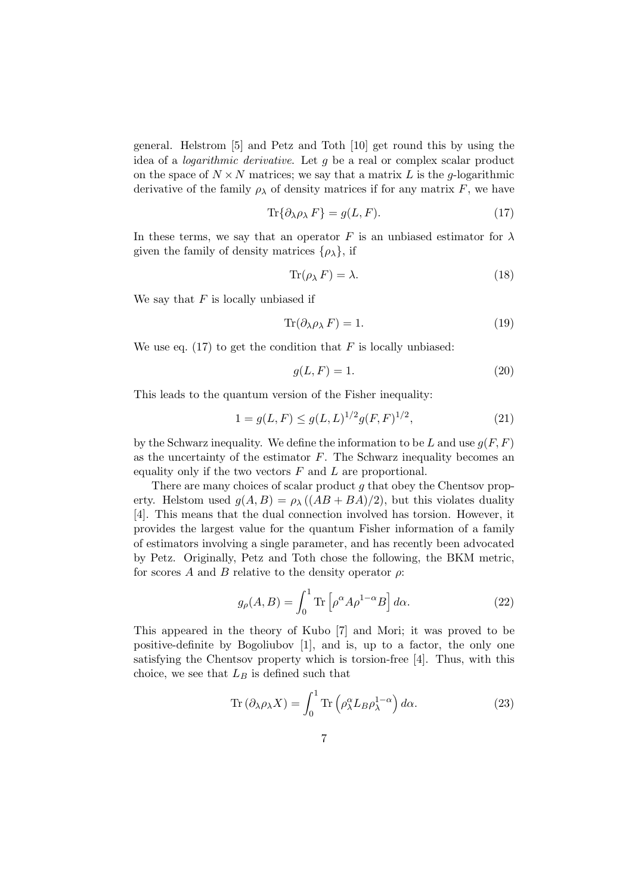general. Helstrom [5] and Petz and Toth [10] get round this by using the idea of a *logarithmic derivative*. Let  $q$  be a real or complex scalar product on the space of  $N \times N$  matrices; we say that a matrix L is the g-logarithmic derivative of the family  $\rho_{\lambda}$  of density matrices if for any matrix F, we have

$$
\text{Tr}\{\partial_{\lambda}\rho_{\lambda} F\} = g(L, F). \tag{17}
$$

In these terms, we say that an operator F is an unbiased estimator for  $\lambda$ given the family of density matrices  $\{\rho_{\lambda}\}\$ , if

$$
\operatorname{Tr}(\rho_{\lambda} F) = \lambda. \tag{18}
$$

We say that  $F$  is locally unbiased if

$$
\operatorname{Tr}(\partial_{\lambda}\rho_{\lambda} F) = 1. \tag{19}
$$

We use eq.  $(17)$  to get the condition that F is locally unbiased:

$$
g(L, F) = 1.\t(20)
$$

This leads to the quantum version of the Fisher inequality:

$$
1 = g(L, F) \le g(L, L)^{1/2} g(F, F)^{1/2},\tag{21}
$$

by the Schwarz inequality. We define the information to be L and use  $q(F, F)$ as the uncertainty of the estimator  $F$ . The Schwarz inequality becomes an equality only if the two vectors  $F$  and  $L$  are proportional.

There are many choices of scalar product  $q$  that obey the Chentsov property. Helstom used  $g(A, B) = \rho_{\lambda}((AB + BA)/2)$ , but this violates duality [4]. This means that the dual connection involved has torsion. However, it provides the largest value for the quantum Fisher information of a family of estimators involving a single parameter, and has recently been advocated by Petz. Originally, Petz and Toth chose the following, the BKM metric, for scores A and B relative to the density operator  $\rho$ :

$$
g_{\rho}(A,B) = \int_0^1 \text{Tr}\left[\rho^{\alpha} A \rho^{1-\alpha} B\right] d\alpha.
$$
 (22)

This appeared in the theory of Kubo [7] and Mori; it was proved to be positive-definite by Bogoliubov [1], and is, up to a factor, the only one satisfying the Chentsov property which is torsion-free [4]. Thus, with this choice, we see that  $L_B$  is defined such that

$$
\operatorname{Tr}\left(\partial_{\lambda}\rho_{\lambda}X\right) = \int_{0}^{1} \operatorname{Tr}\left(\rho^{\alpha}_{\lambda}L_{B}\rho^{1-\alpha}_{\lambda}\right)d\alpha. \tag{23}
$$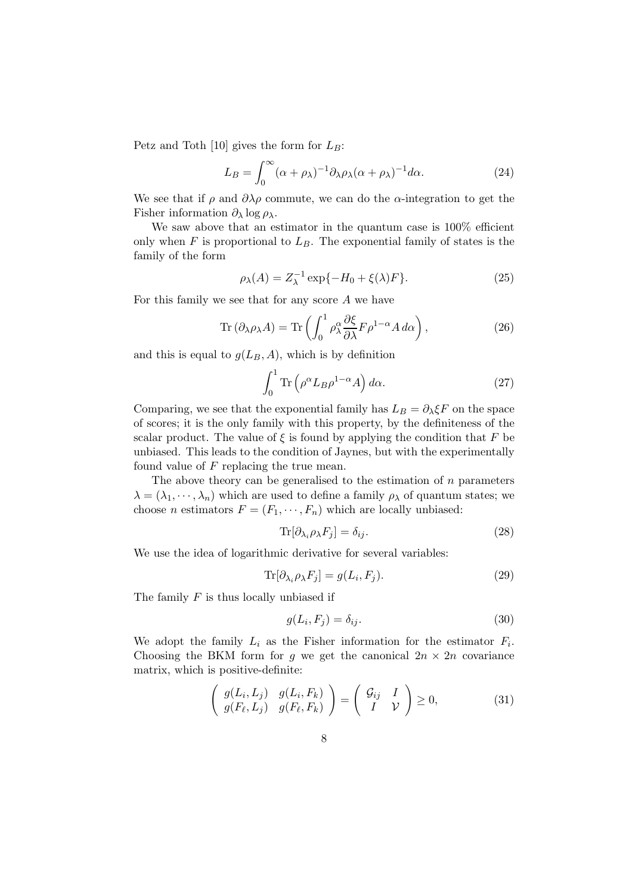Petz and Toth [10] gives the form for  $L_B$ :

$$
L_B = \int_0^\infty (\alpha + \rho_\lambda)^{-1} \partial_\lambda \rho_\lambda (\alpha + \rho_\lambda)^{-1} d\alpha.
$$
 (24)

We see that if  $\rho$  and  $\partial \lambda \rho$  commute, we can do the  $\alpha$ -integration to get the Fisher information  $\partial_{\lambda} \log \rho_{\lambda}$ .

We saw above that an estimator in the quantum case is  $100\%$  efficient only when  $F$  is proportional to  $L_B$ . The exponential family of states is the family of the form

$$
\rho_{\lambda}(A) = Z_{\lambda}^{-1} \exp\{-H_0 + \xi(\lambda)F\}.
$$
\n(25)

For this family we see that for any score  $A$  we have

$$
\text{Tr}\left(\partial_{\lambda}\rho_{\lambda}A\right) = \text{Tr}\left(\int_0^1 \rho_{\lambda}^{\alpha}\frac{\partial \xi}{\partial \lambda}F\rho^{1-\alpha}A\,d\alpha\right),\tag{26}
$$

and this is equal to  $g(L_B, A)$ , which is by definition

$$
\int_0^1 \text{Tr}\left(\rho^\alpha L_B \rho^{1-\alpha} A\right) d\alpha. \tag{27}
$$

Comparing, we see that the exponential family has  $L_B = \partial_{\lambda} \xi F$  on the space of scores; it is the only family with this property, by the definiteness of the scalar product. The value of  $\xi$  is found by applying the condition that F be unbiased. This leads to the condition of Jaynes, but with the experimentally found value of  $F$  replacing the true mean.

The above theory can be generalised to the estimation of  $n$  parameters  $\lambda = (\lambda_1, \dots, \lambda_n)$  which are used to define a family  $\rho_{\lambda}$  of quantum states; we choose *n* estimators  $F = (F_1, \dots, F_n)$  which are locally unbiased:

$$
\text{Tr}[\partial_{\lambda_i} \rho_\lambda F_j] = \delta_{ij}.\tag{28}
$$

We use the idea of logarithmic derivative for several variables:

$$
\text{Tr}[\partial_{\lambda_i} \rho_\lambda F_j] = g(L_i, F_j). \tag{29}
$$

The family  $F$  is thus locally unbiased if

$$
g(L_i, F_j) = \delta_{ij}.
$$
\n(30)

We adopt the family  $L_i$  as the Fisher information for the estimator  $F_i$ . Choosing the BKM form for g we get the canonical  $2n \times 2n$  covariance matrix, which is positive-definite:

$$
\left(\begin{array}{cc} g(L_i, L_j) & g(L_i, F_k) \\ g(F_\ell, L_j) & g(F_\ell, F_k) \end{array}\right) = \left(\begin{array}{cc} \mathcal{G}_{ij} & I \\ I & \mathcal{V} \end{array}\right) \ge 0, \tag{31}
$$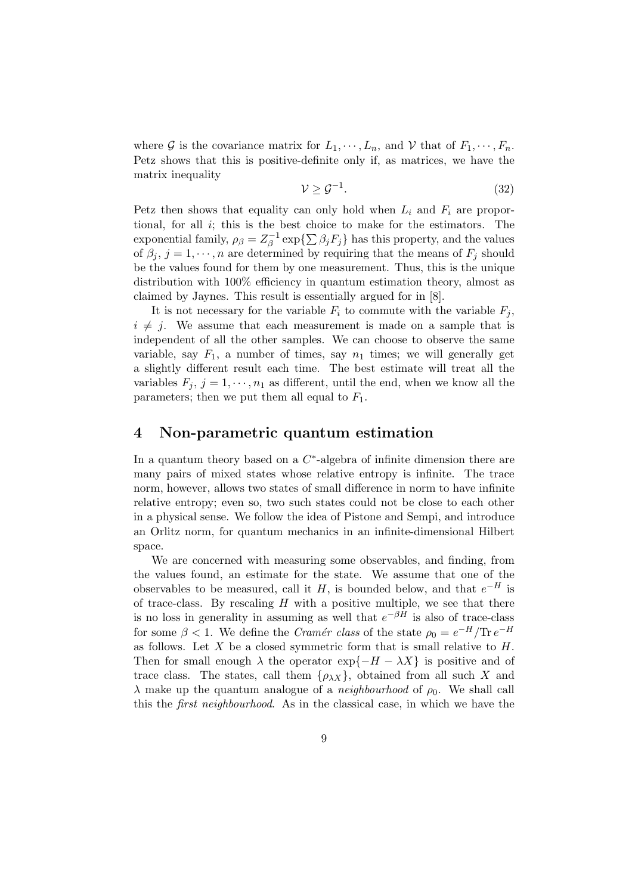where G is the covariance matrix for  $L_1, \dots, L_n$ , and V that of  $F_1, \dots, F_n$ . Petz shows that this is positive-definite only if, as matrices, we have the matrix inequality

$$
\mathcal{V} \ge \mathcal{G}^{-1}.\tag{32}
$$

Petz then shows that equality can only hold when  $L_i$  and  $F_i$  are proportional, for all  $i$ ; this is the best choice to make for the estimators. The exponential family,  $\rho_{\beta} = Z_{\beta}^{-1}$  $\int_{\beta}^{-1} \exp\{\sum \beta_j F_j\}$  has this property, and the values of  $\beta_j$ ,  $j = 1, \dots, n$  are determined by requiring that the means of  $F_j$  should be the values found for them by one measurement. Thus, this is the unique distribution with 100% efficiency in quantum estimation theory, almost as claimed by Jaynes. This result is essentially argued for in [8].

It is not necessary for the variable  $F_i$  to commute with the variable  $F_i$ ,  $i \neq j$ . We assume that each measurement is made on a sample that is independent of all the other samples. We can choose to observe the same variable, say  $F_1$ , a number of times, say  $n_1$  times; we will generally get a slightly different result each time. The best estimate will treat all the variables  $F_j$ ,  $j = 1, \dots, n_1$  as different, until the end, when we know all the parameters; then we put them all equal to  $F_1$ .

#### 4 Non-parametric quantum estimation

In a quantum theory based on a  $C^*$ -algebra of infinite dimension there are many pairs of mixed states whose relative entropy is infinite. The trace norm, however, allows two states of small difference in norm to have infinite relative entropy; even so, two such states could not be close to each other in a physical sense. We follow the idea of Pistone and Sempi, and introduce an Orlitz norm, for quantum mechanics in an infinite-dimensional Hilbert space.

We are concerned with measuring some observables, and finding, from the values found, an estimate for the state. We assume that one of the observables to be measured, call it H, is bounded below, and that  $e^{-H}$  is of trace-class. By rescaling  $H$  with a positive multiple, we see that there is no loss in generality in assuming as well that  $e^{-\beta \hat{H}}$  is also of trace-class for some  $\beta < 1$ . We define the *Cramér class* of the state  $\rho_0 = e^{-H}/\text{Tr }e^{-H}$ as follows. Let  $X$  be a closed symmetric form that is small relative to  $H$ . Then for small enough  $\lambda$  the operator  $\exp\{-H - \lambda X\}$  is positive and of trace class. The states, call them  $\{\rho_{\lambda X}\}\,$  obtained from all such X and  $\lambda$  make up the quantum analogue of a *neighbourhood* of  $\rho_0$ . We shall call this the first neighbourhood. As in the classical case, in which we have the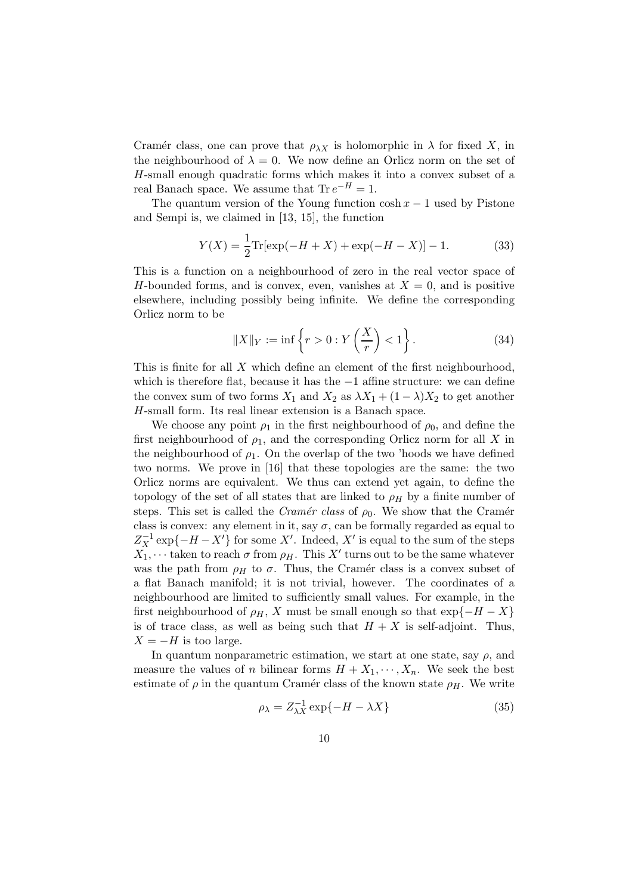Cramér class, one can prove that  $\rho_{\lambda X}$  is holomorphic in  $\lambda$  for fixed X, in the neighbourhood of  $\lambda = 0$ . We now define an Orlicz norm on the set of H-small enough quadratic forms which makes it into a convex subset of a real Banach space. We assume that  $\text{Tr } e^{-H} = 1$ .

The quantum version of the Young function  $\cosh x - 1$  used by Pistone and Sempi is, we claimed in [13, 15], the function

$$
Y(X) = \frac{1}{2} \text{Tr}[\exp(-H + X) + \exp(-H - X)] - 1.
$$
 (33)

This is a function on a neighbourhood of zero in the real vector space of H-bounded forms, and is convex, even, vanishes at  $X = 0$ , and is positive elsewhere, including possibly being infinite. We define the corresponding Orlicz norm to be

$$
||X||_Y := \inf \left\{ r > 0 : Y\left(\frac{X}{r}\right) < 1 \right\}.
$$
 (34)

This is finite for all X which define an element of the first neighbourhood, which is therefore flat, because it has the −1 affine structure: we can define the convex sum of two forms  $X_1$  and  $X_2$  as  $\lambda X_1 + (1 - \lambda)X_2$  to get another H-small form. Its real linear extension is a Banach space.

We choose any point  $\rho_1$  in the first neighbourhood of  $\rho_0$ , and define the first neighbourhood of  $\rho_1$ , and the corresponding Orlicz norm for all X in the neighbourhood of  $\rho_1$ . On the overlap of the two 'hoods we have defined two norms. We prove in [16] that these topologies are the same: the two Orlicz norms are equivalent. We thus can extend yet again, to define the topology of the set of all states that are linked to  $\rho_H$  by a finite number of steps. This set is called the *Cramér class* of  $\rho_0$ . We show that the Cramér class is convex: any element in it, say  $\sigma$ , can be formally regarded as equal to  $Z_X^{-1}$  exp{ $-H - X'$ } for some X'. Indeed, X' is equal to the sum of the steps  $X_1, \dots$  taken to reach  $\sigma$  from  $\rho_H$ . This  $X'$  turns out to be the same whatever was the path from  $\rho_H$  to  $\sigma$ . Thus, the Cramér class is a convex subset of a flat Banach manifold; it is not trivial, however. The coordinates of a neighbourhood are limited to sufficiently small values. For example, in the first neighbourhood of  $\rho_H$ , X must be small enough so that  $\exp\{-H - X\}$ is of trace class, as well as being such that  $H + X$  is self-adjoint. Thus,  $X = -H$  is too large.

In quantum nonparametric estimation, we start at one state, say  $\rho$ , and measure the values of n bilinear forms  $H + X_1, \dots, X_n$ . We seek the best estimate of  $\rho$  in the quantum Cramér class of the known state  $\rho_H$ . We write

$$
\rho_{\lambda} = Z_{\lambda X}^{-1} \exp\{-H - \lambda X\} \tag{35}
$$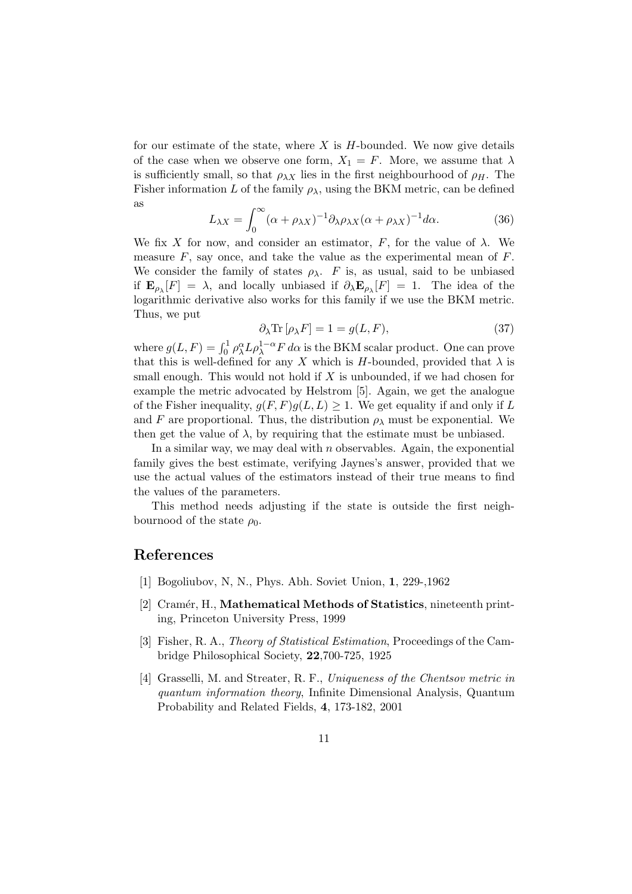for our estimate of the state, where  $X$  is  $H$ -bounded. We now give details of the case when we observe one form,  $X_1 = F$ . More, we assume that  $\lambda$ is sufficiently small, so that  $\rho_{\lambda X}$  lies in the first neighbourhood of  $\rho_H$ . The Fisher information L of the family  $\rho_{\lambda}$ , using the BKM metric, can be defined as

$$
L_{\lambda X} = \int_0^\infty (\alpha + \rho_{\lambda X})^{-1} \partial_{\lambda} \rho_{\lambda X} (\alpha + \rho_{\lambda X})^{-1} d\alpha.
$$
 (36)

We fix X for now, and consider an estimator, F, for the value of  $\lambda$ . We measure  $F$ , say once, and take the value as the experimental mean of  $F$ . We consider the family of states  $\rho_{\lambda}$ . F is, as usual, said to be unbiased if  $\mathbf{E}_{\rho_{\lambda}}[F] = \lambda$ , and locally unbiased if  $\partial_{\lambda} \mathbf{E}_{\rho_{\lambda}}[F] = 1$ . The idea of the logarithmic derivative also works for this family if we use the BKM metric. Thus, we put

$$
\partial_{\lambda} \text{Tr} \left[ \rho_{\lambda} F \right] = 1 = g(L, F), \tag{37}
$$

where  $g(L, F) = \int_0^1 \rho_{\lambda}^{\alpha} L \rho_{\lambda}^{1-\alpha} F d\alpha$  is the BKM scalar product. One can prove that this is well-defined for any X which is H-bounded, provided that  $\lambda$  is small enough. This would not hold if  $X$  is unbounded, if we had chosen for example the metric advocated by Helstrom [5]. Again, we get the analogue of the Fisher inequality,  $g(F, F)g(L, L) \geq 1$ . We get equality if and only if L and F are proportional. Thus, the distribution  $\rho_{\lambda}$  must be exponential. We then get the value of  $\lambda$ , by requiring that the estimate must be unbiased.

In a similar way, we may deal with  $n$  observables. Again, the exponential family gives the best estimate, verifying Jaynes's answer, provided that we use the actual values of the estimators instead of their true means to find the values of the parameters.

This method needs adjusting if the state is outside the first neighbournood of the state  $\rho_0$ .

### References

- [1] Bogoliubov, N, N., Phys. Abh. Soviet Union, 1, 229-,1962
- [2] Cramér, H., Mathematical Methods of Statistics, nineteenth printing, Princeton University Press, 1999
- [3] Fisher, R. A., Theory of Statistical Estimation, Proceedings of the Cambridge Philosophical Society, 22,700-725, 1925
- [4] Grasselli, M. and Streater, R. F., Uniqueness of the Chentsov metric in quantum information theory, Infinite Dimensional Analysis, Quantum Probability and Related Fields, 4, 173-182, 2001